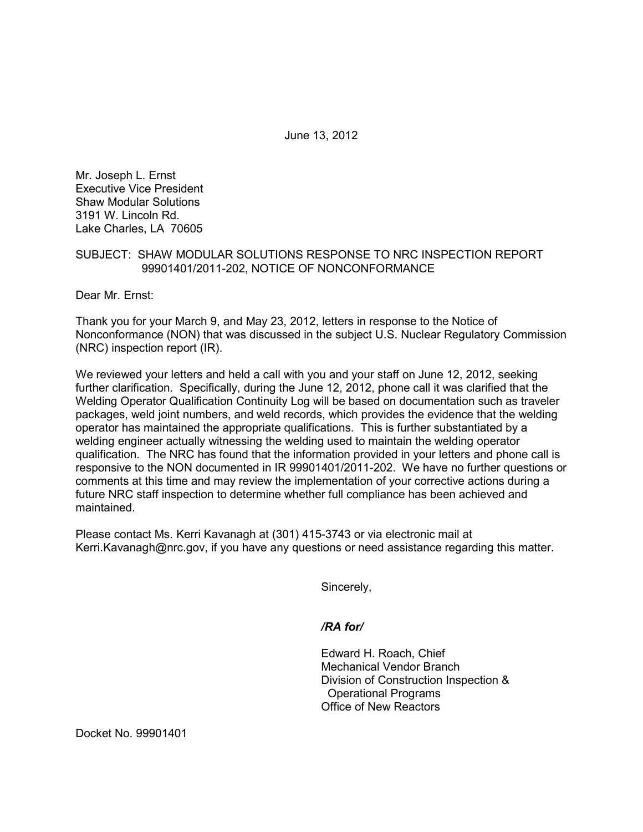June 13, 2012

Mr. Joseph L. Ernst Executive Vice President Shaw Modular Solutions 3191 W. Lincoln Rd. Lake Charles, LA 70605

## SUBJECT: SHAW MODULAR SOLUTIONS RESPONSE TO NRC INSPECTION REPORT 99901401/2011-202, NOTICE OF NONCONFORMANCE

Dear Mr. Ernst:

Thank you for your March 9, and May 23, 2012, letters in response to the Notice of Nonconformance (NON) that was discussed in the subject U.S. Nuclear Regulatory Commission (NRC) inspection report (IR).

We reviewed your letters and held a call with you and your staff on June 12, 2012, seeking further clarification. Specifically, during the June 12, 2012, phone call it was clarified that the Welding Operator Qualification Continuity Log will be based on documentation such as traveler packages, weld joint numbers, and weld records, which provides the evidence that the welding operator has maintained the appropriate qualifications. This is further substantiated by a welding engineer actually witnessing the welding used to maintain the welding operator qualification. The NRC has found that the information provided in your letters and phone call is responsive to the NON documented in IR 99901401/2011-202. We have no further questions or comments at this time and may review the implementation of your corrective actions during a future NRC staff inspection to determine whether full compliance has been achieved and maintained.

Please contact Ms. Kerri Kavanagh at (301) 415-3743 or via electronic mail at Kerri.Kavanagh@nrc.gov, if you have any questions or need assistance regarding this matter.

Sincerely,

 */RA for/* 

Edward H. Roach, Chief Mechanical Vendor Branch Division of Construction Inspection & Operational Programs Office of New Reactors

Docket No. 99901401